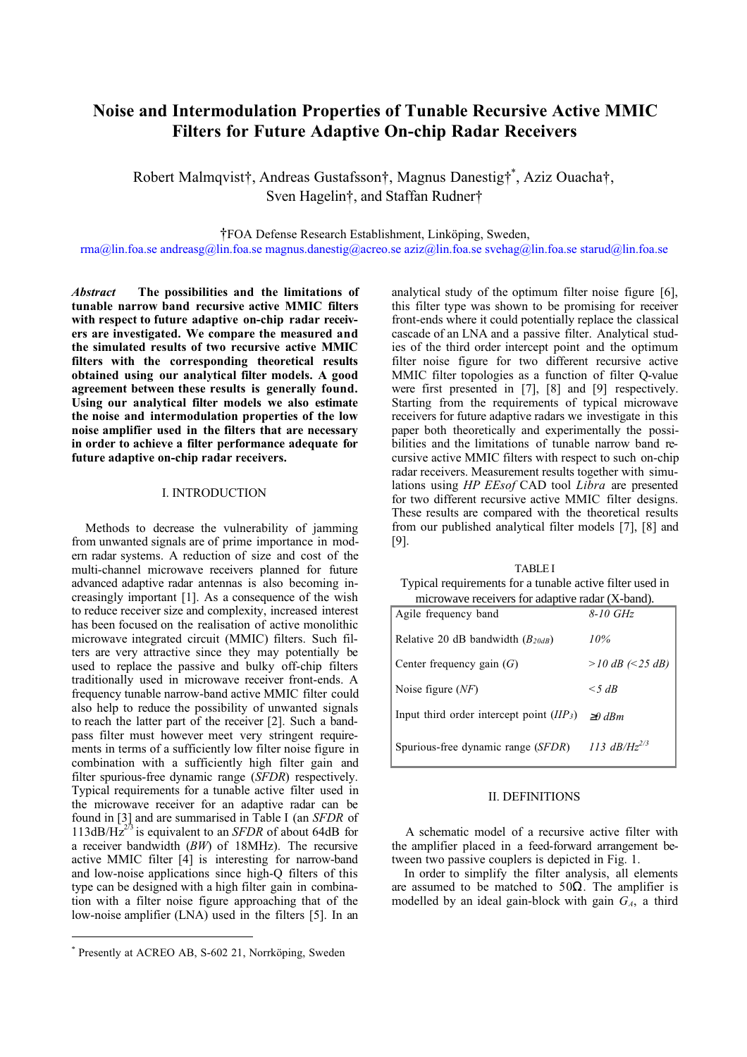# **Noise and Intermodulation Properties of Tunable Recursive Active MMIC Filters for Future Adaptive On-chip Radar Receivers**

Robert Malmqvist†, Andreas Gustafsson†, Magnus Danestig†\* , Aziz Ouacha†, Sven Hagelin†, and Staffan Rudner†

†FOA Defense Research Establishment, Linköping, Sweden,

[rma@lin.foa.se](mailto:rma@lin.foa.se) [andreasg@lin.foa.se](mailto:andreasg@lin.foa.se) [magnus.danestig@acreo.se](mailto:magnus.danestig@acreo.se) [aziz@lin.foa.se](mailto:aziz@lin.foa.se) [svehag@lin.foa.se](mailto:svehag@lin.foa.se) [starud@lin.foa.se](mailto:starud@lin.foa.se)

*Abstract*  **The possibilities and the limitations of tunable narrow band recursive active MMIC filters with respect to future adaptive on-chip radar receivers are investigated. We compare the measured and the simulated results of two recursive active MMIC filters with the corresponding theoretical results obtained using our analytical filter models. A good agreement between these results is generally found. Using our analytical filter models we also estimate the noise and intermodulation properties of the low noise amplifier used in the filters that are necessary in order to achieve a filter performance adequate for future adaptive on-chip radar receivers.**

#### I. INTRODUCTION

Methods to decrease the vulnerability of jamming from unwanted signals are of prime importance in modern radar systems. A reduction of size and cost of the multi-channel microwave receivers planned for future advanced adaptive radar antennas is also becoming increasingly important [1]. As a consequence of the wish to reduce receiver size and complexity, increased interest has been focused on the realisation of active monolithic microwave integrated circuit (MMIC) filters. Such filters are very attractive since they may potentially be used to replace the passive and bulky off-chip filters traditionally used in microwave receiver front-ends. A frequency tunable narrow-band active MMIC filter could also help to reduce the possibility of unwanted signals to reach the latter part of the receiver [2]. Such a bandpass filter must however meet very stringent requirements in terms of a sufficiently low filter noise figure in combination with a sufficiently high filter gain and filter spurious-free dynamic range (*SFDR*) respectively. Typical requirements for a tunable active filter used in the microwave receiver for an adaptive radar can be found in [3] and are summarised in Table I (an *SFDR* of  $113dB/Hz^{2/3}$  is equivalent to an *SFDR* of about 64dB for a receiver bandwidth (*BW*) of 18MHz). The recursive active MMIC filter [4] is interesting for narrow-band and low-noise applications since high-Q filters of this type can be designed with a high filter gain in combination with a filter noise figure approaching that of the low-noise amplifier (LNA) used in the filters [5]. In an

 $\overline{a}$ 

analytical study of the optimum filter noise figure [6], this filter type was shown to be promising for receiver front-ends where it could potentially replace the classical cascade of an LNA and a passive filter. Analytical studies of the third order intercept point and the optimum filter noise figure for two different recursive active MMIC filter topologies as a function of filter Q-value were first presented in [7], [8] and [9] respectively. Starting from the requirements of typical microwave receivers for future adaptive radars we investigate in this paper both theoretically and experimentally the possibilities and the limitations of tunable narrow band recursive active MMIC filters with respect to such on-chip radar receivers. Measurement results together with simulations using *HP EEsof* CAD tool *Libra* are presented for two different recursive active MMIC filter designs. These results are compared with the theoretical results from our published analytical filter models [7], [8] and [9].

| <b>TABLE I</b>                                           |
|----------------------------------------------------------|
| Typical requirements for a tunable active filter used in |
| microwave receivers for adaptive radar (X-band).         |

| Agile frequency band                        | $8-10$ GHz        |
|---------------------------------------------|-------------------|
| Relative 20 dB bandwidth $(B_{20dB})$       | 10%               |
| Center frequency gain $(G)$                 | $>10$ dB (<25 dB) |
| Noise figure $(NF)$                         | $\leq$ 5 dB       |
| Input third order intercept point $(IIP_3)$ | $\geq 0$ dRm      |
| Spurious-free dynamic range (SFDR)          | 113 $dB/Hz^{2/3}$ |

## II. DEFINITIONS

A schematic model of a recursive active filter with the amplifier placed in a feed-forward arrangement between two passive couplers is depicted in Fig. 1.

In order to simplify the filter analysis, all elements are assumed to be matched to  $50\Omega$ . The amplifier is modelled by an ideal gain-block with gain  $G_A$ , a third

<sup>\*</sup> Presently at ACREO AB, S-602 21, Norrköping, Sweden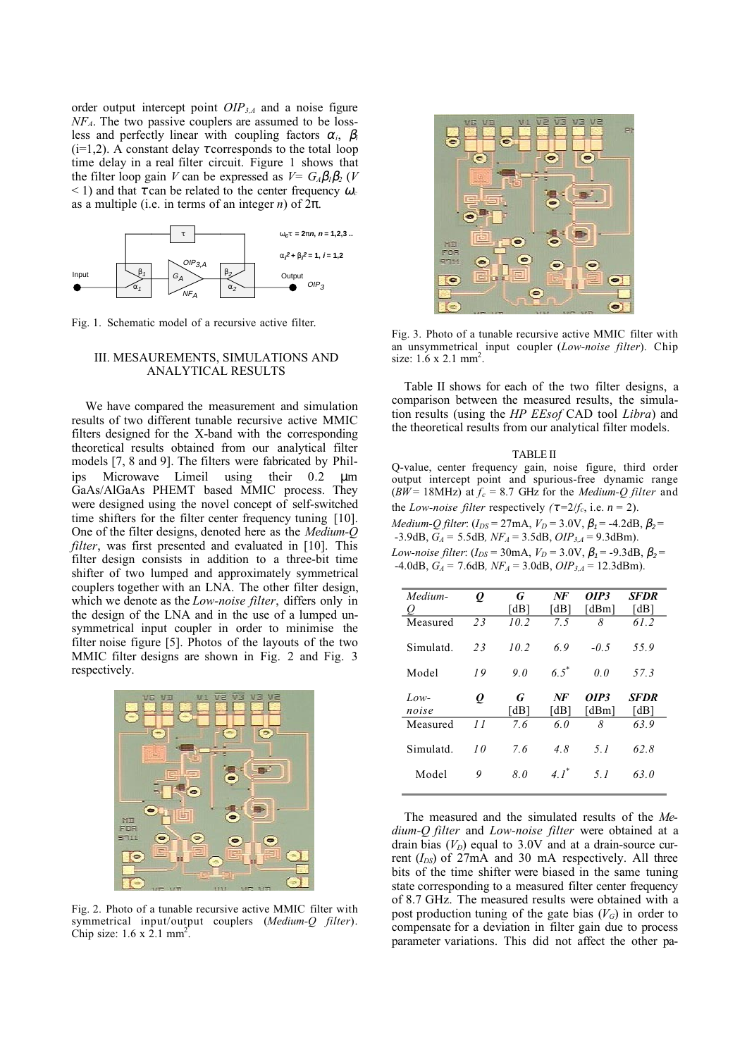order output intercept point *OIP3,A* and a noise figure *NFA*. The two passive couplers are assumed to be lossless and perfectly linear with coupling factors  $\alpha_i$ ,  $\beta_i$  $(i=1,2)$ . A constant delay  $\tau$  corresponds to the total loop time delay in a real filter circuit. Figure 1 shows that the filter loop gain *V* can be expressed as  $V = G_A \beta_1 \beta_2$  (*V*  $\leq$  1) and that  $\tau$  can be related to the center frequency  $\omega_c$ as a multiple (i.e. in terms of an integer  $n$ ) of  $2\pi$ .



Fig. 1. Schematic model of a recursive active filter.

## III. MESAUREMENTS, SIMULATIONS AND ANALYTICAL RESULTS

We have compared the measurement and simulation results of two different tunable recursive active MMIC filters designed for the X-band with the corresponding theoretical results obtained from our analytical filter models [7, 8 and 9]. The filters were fabricated by Philips Microwave Limeil using their 0.2 µm GaAs/AlGaAs PHEMT based MMIC process. They were designed using the novel concept of self-switched time shifters for the filter center frequency tuning [10]. One of the filter designs, denoted here as the *Medium-Q filter*, was first presented and evaluated in [10]. This filter design consists in addition to a three-bit time shifter of two lumped and approximately symmetrical couplers together with an LNA. The other filter design, which we denote as the *Low-noise filter*, differs only in the design of the LNA and in the use of a lumped unsymmetrical input coupler in order to minimise the filter noise figure [5]. Photos of the layouts of the two MMIC filter designs are shown in Fig. 2 and Fig. 3 respectively.



Fig. 2. Photo of a tunable recursive active MMIC filter with symmetrical input/output couplers (*Medium-Q filter*). Chip size:  $1.6 \times 2.1 \text{ mm}^2$ .



Fig. 3. Photo of a tunable recursive active MMIC filter with an unsymmetrical input coupler (*Low-noise filter*). Chip size:  $1.6 \times 2.1 \text{ mm}^2$ .

Table II shows for each of the two filter designs, a comparison between the measured results, the simulation results (using the *HP EEsof* CAD tool *Libra*) and the theoretical results from our analytical filter models.

TABLE II Q-value, center frequency gain, noise figure, third order output intercept point and spurious-free dynamic range ( $BW = 18$ MHz) at  $f_c = 8.7$  GHz for the *Medium-Q filter* and the *Low-noise filter* respectively  $(\tau = 2/f_c)$ , i.e.  $n = 2$ ). *Medium-Q filter*: ( $I_{DS}$  = 27mA,  $V_D$  = 3.0V,  $\beta$ <sub>1</sub> = -4.2dB,  $\beta$ <sub>2</sub> = -3.9dB, *GA =* 5.5dB*, NFA* = 3.5dB, *OIP3,A* = 9.3dBm). *Low-noise filter*: ( $I_{DS}$  = 30mA,  $V_D$  = 3.0V,  $\beta_1$  = -9.3dB,  $\beta_2$  =  $-4.0$ dB,  $G_A = 7.6$ dB,  $NF_A = 3.0$ dB,  $OIP_{3,A} = 12.3$ dBm).

| Medium-<br>Q  | Q  | G<br>[dB] | NF<br>[dB]         | OIP3<br>[dBm]  | SFDR<br>[dB]        |
|---------------|----|-----------|--------------------|----------------|---------------------|
| Measured      | 23 | 10.2      | 7.5                | 8              | 61.2                |
| Simulatd.     | 23 | 10.2      | 69                 | $-0.5$         | 55.9                |
| Model         | 19 | 90        | $6.5^*$            | 0 <sub>0</sub> | 57.3                |
| Low-<br>noise | Q  | G<br>[dB] | NF<br>[dB]         | OIP3<br>[dBm]  | <b>SFDR</b><br>[dB] |
| Measured      | 11 | 7.6       | 6.0                | 8              | 63.9                |
| Simulatd.     | 10 | 76        | 4.8                | 51             | 62.8                |
| Model         | 9  | 80        | $4.1$ <sup>*</sup> | 51             | 63.0                |

The measured and the simulated results of the *Medium-Q filter* and *Low-noise filter* were obtained at a drain bias  $(V_D)$  equal to 3.0V and at a drain-source current (*IDS*) of 27mA and 30 mA respectively. All three bits of the time shifter were biased in the same tuning state corresponding to a measured filter center frequency of 8.7 GHz. The measured results were obtained with a post production tuning of the gate bias  $(V_G)$  in order to compensate for a deviation in filter gain due to process parameter variations. This did not affect the other pa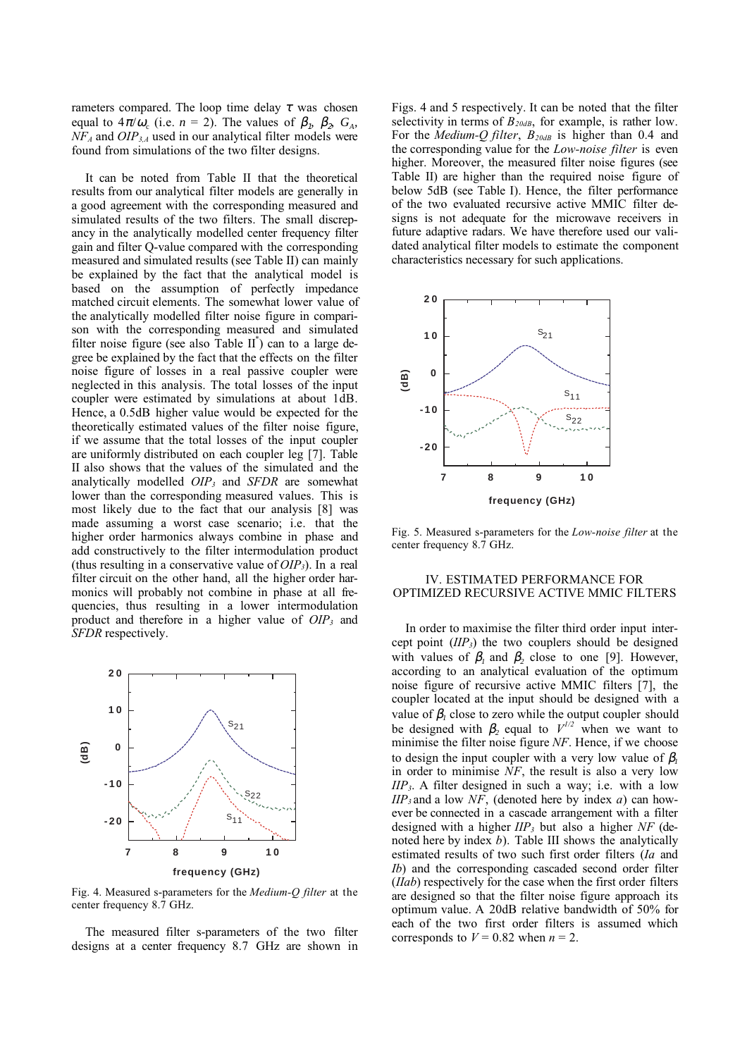rameters compared. The loop time delay  $\tau$  was chosen equal to  $4\pi/\omega_c$  (i.e.  $n = 2$ ). The values of  $\beta_1$ ,  $\beta_2$ ,  $G_A$ , *NFA* and *OIP3,A* used in our analytical filter models were found from simulations of the two filter designs.

It can be noted from Table II that the theoretical results from our analytical filter models are generally in a good agreement with the corresponding measured and simulated results of the two filters. The small discrepancy in the analytically modelled center frequency filter gain and filter Q-value compared with the corresponding measured and simulated results (see Table II) can mainly be explained by the fact that the analytical model is based on the assumption of perfectly impedance matched circuit elements. The somewhat lower value of the analytically modelled filter noise figure in comparison with the corresponding measured and simulated filter noise figure (see also Table  $II^*$ ) can to a large degree be explained by the fact that the effects on the filter noise figure of losses in a real passive coupler were neglected in this analysis. The total losses of the input coupler were estimated by simulations at about 1dB. Hence, a 0.5dB higher value would be expected for the theoretically estimated values of the filter noise figure, if we assume that the total losses of the input coupler are uniformly distributed on each coupler leg [7]. Table II also shows that the values of the simulated and the analytically modelled *OIP3* and *SFDR* are somewhat lower than the corresponding measured values. This is most likely due to the fact that our analysis [8] was made assuming a worst case scenario; i.e. that the higher order harmonics always combine in phase and add constructively to the filter intermodulation product (thus resulting in a conservative value of *OIP3*). In a real filter circuit on the other hand, all the higher order harmonics will probably not combine in phase at all frequencies, thus resulting in a lower intermodulation product and therefore in a higher value of *OIP3* and *SFDR* respectively.



Fig. 4. Measured s-parameters for the *Medium-Q filter* at the center frequency 8.7 GHz.

The measured filter s-parameters of the two filter designs at a center frequency 8.7 GHz are shown in Figs. 4 and 5 respectively. It can be noted that the filter selectivity in terms of  $B_{20dB}$ , for example, is rather low. For the *Medium-Q filter*,  $B_{20dB}$  is higher than 0.4 and the corresponding value for the *Low-noise filter* is even higher. Moreover, the measured filter noise figures (see Table II) are higher than the required noise figure of below 5dB (see Table I). Hence, the filter performance of the two evaluated recursive active MMIC filter designs is not adequate for the microwave receivers in future adaptive radars. We have therefore used our validated analytical filter models to estimate the component characteristics necessary for such applications.



Fig. 5. Measured s-parameters for the *Low-noise filter* at the center frequency 8.7 GHz.

## IV. ESTIMATED PERFORMANCE FOR OPTIMIZED RECURSIVE ACTIVE MMIC FILTERS

In order to maximise the filter third order input intercept point (*IIP3*) the two couplers should be designed with values of  $\beta_1$  and  $\beta_2$  close to one [9]. However, according to an analytical evaluation of the optimum noise figure of recursive active MMIC filters [7], the coupler located at the input should be designed with a value of  $\beta_l$  close to zero while the output coupler should be designed with  $\beta_2$  equal to  $V^{1/2}$  when we want to minimise the filter noise figure *NF*. Hence, if we choose to design the input coupler with a very low value of  $\beta$ <sup>*l*</sup> in order to minimise *NF*, the result is also a very low *IIP3*. A filter designed in such a way; i.e. with a low *IIP3* and a low *NF*, (denoted here by index *a*) can however be connected in a cascade arrangement with a filter designed with a higher *IIP3* but also a higher *NF* (denoted here by index *b*). Table III shows the analytically estimated results of two such first order filters (*Ia* and *Ib*) and the corresponding cascaded second order filter (*IIab*) respectively for the case when the first order filters are designed so that the filter noise figure approach its optimum value. A 20dB relative bandwidth of 50% for each of the two first order filters is assumed which corresponds to  $V = 0.82$  when  $n = 2$ .